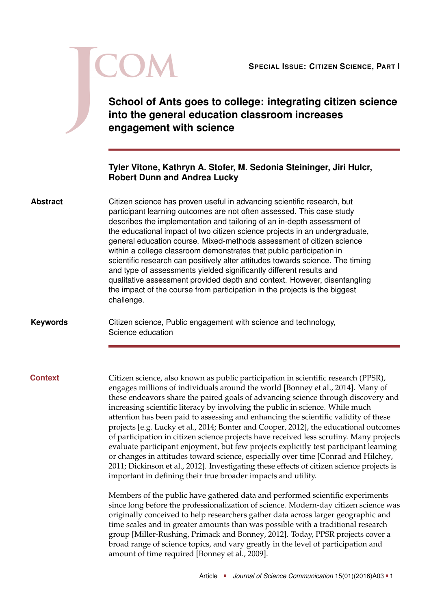|                 | <b>SPECIAL ISSUE: CITIZEN SCIENCE, PART I</b><br>School of Ants goes to college: integrating citizen science<br>into the general education classroom increases<br>engagement with science                                                                                                                                                                                                                                                                                                                                                                                                                                                                                                                                                                                                                                                                                                                                                                          |
|-----------------|--------------------------------------------------------------------------------------------------------------------------------------------------------------------------------------------------------------------------------------------------------------------------------------------------------------------------------------------------------------------------------------------------------------------------------------------------------------------------------------------------------------------------------------------------------------------------------------------------------------------------------------------------------------------------------------------------------------------------------------------------------------------------------------------------------------------------------------------------------------------------------------------------------------------------------------------------------------------|
|                 | Tyler Vitone, Kathryn A. Stofer, M. Sedonia Steininger, Jiri Hulcr,<br><b>Robert Dunn and Andrea Lucky</b>                                                                                                                                                                                                                                                                                                                                                                                                                                                                                                                                                                                                                                                                                                                                                                                                                                                         |
| <b>Abstract</b> | Citizen science has proven useful in advancing scientific research, but<br>participant learning outcomes are not often assessed. This case study<br>describes the implementation and tailoring of an in-depth assessment of<br>the educational impact of two citizen science projects in an undergraduate,<br>general education course. Mixed-methods assessment of citizen science<br>within a college classroom demonstrates that public participation in<br>scientific research can positively alter attitudes towards science. The timing<br>and type of assessments yielded significantly different results and<br>qualitative assessment provided depth and context. However, disentangling<br>the impact of the course from participation in the projects is the biggest<br>challenge.                                                                                                                                                                      |
| <b>Keywords</b> | Citizen science, Public engagement with science and technology,<br>Science education                                                                                                                                                                                                                                                                                                                                                                                                                                                                                                                                                                                                                                                                                                                                                                                                                                                                               |
| <b>Context</b>  | Citizen science, also known as public participation in scientific research (PPSR),<br>engages millions of individuals around the world [Bonney et al., 2014]. Many of<br>these endeavors share the paired goals of advancing science through discovery and<br>increasing scientific literacy by involving the public in science. While much<br>attention has been paid to assessing and enhancing the scientific validity of these<br>projects [e.g. Lucky et al., 2014; Bonter and Cooper, 2012], the educational outcomes<br>of participation in citizen science projects have received less scrutiny. Many projects<br>evaluate participant enjoyment, but few projects explicitly test participant learning<br>or changes in attitudes toward science, especially over time [Conrad and Hilchey,<br>2011; Dickinson et al., 2012]. Investigating these effects of citizen science projects is<br>important in defining their true broader impacts and utility. |
|                 | Members of the public have gathered data and performed scientific experiments<br>since long before the professionalization of science. Modern-day citizen science was<br>originally conceived to help researchers gather data across larger geographic and<br>time scales and in greater amounts than was possible with a traditional research<br>group [Miller-Rushing, Primack and Bonney, 2012]. Today, PPSR projects cover a<br>broad range of science topics, and vary greatly in the level of participation and<br>amount of time required [Bonney et al., 2009].                                                                                                                                                                                                                                                                                                                                                                                            |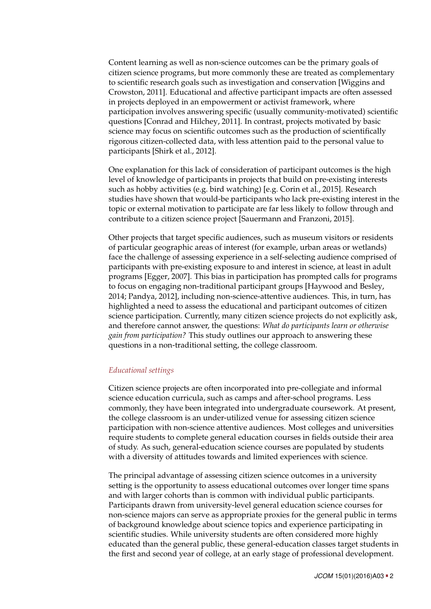Content learning as well as non-science outcomes can be the primary goals of citizen science programs, but more commonly these are treated as complementary to scientific research goals such as investigation and conservation [Wiggins and Crowston, [2011\]](#page-22-0). Educational and affective participant impacts are often assessed in projects deployed in an empowerment or activist framework, where participation involves answering specific (usually community-motivated) scientific questions [Conrad and Hilchey, [2011\]](#page-20-1). In contrast, projects motivated by basic science may focus on scientific outcomes such as the production of scientifically rigorous citizen-collected data, with less attention paid to the personal value to participants [Shirk et al., [2012\]](#page-21-1).

One explanation for this lack of consideration of participant outcomes is the high level of knowledge of participants in projects that build on pre-existing interests such as hobby activities (e.g. bird watching) [e.g. Corin et al., [2015\]](#page-20-3). Research studies have shown that would-be participants who lack pre-existing interest in the topic or external motivation to participate are far less likely to follow through and contribute to a citizen science project [Sauermann and Franzoni, [2015\]](#page-21-2).

Other projects that target specific audiences, such as museum visitors or residents of particular geographic areas of interest (for example, urban areas or wetlands) face the challenge of assessing experience in a self-selecting audience comprised of participants with pre-existing exposure to and interest in science, at least in adult programs [Egger, [2007\]](#page-20-4). This bias in participation has prompted calls for programs to focus on engaging non-traditional participant groups [Haywood and Besley, [2014;](#page-20-5) Pandya, [2012\]](#page-21-3), including non-science-attentive audiences. This, in turn, has highlighted a need to assess the educational and participant outcomes of citizen science participation. Currently, many citizen science projects do not explicitly ask, and therefore cannot answer, the questions: *What do participants learn or otherwise gain from participation?* This study outlines our approach to answering these questions in a non-traditional setting, the college classroom.

## *Educational settings*

Citizen science projects are often incorporated into pre-collegiate and informal science education curricula, such as camps and after-school programs. Less commonly, they have been integrated into undergraduate coursework. At present, the college classroom is an under-utilized venue for assessing citizen science participation with non-science attentive audiences. Most colleges and universities require students to complete general education courses in fields outside their area of study. As such, general-education science courses are populated by students with a diversity of attitudes towards and limited experiences with science.

The principal advantage of assessing citizen science outcomes in a university setting is the opportunity to assess educational outcomes over longer time spans and with larger cohorts than is common with individual public participants. Participants drawn from university-level general education science courses for non-science majors can serve as appropriate proxies for the general public in terms of background knowledge about science topics and experience participating in scientific studies. While university students are often considered more highly educated than the general public, these general-education classes target students in the first and second year of college, at an early stage of professional development.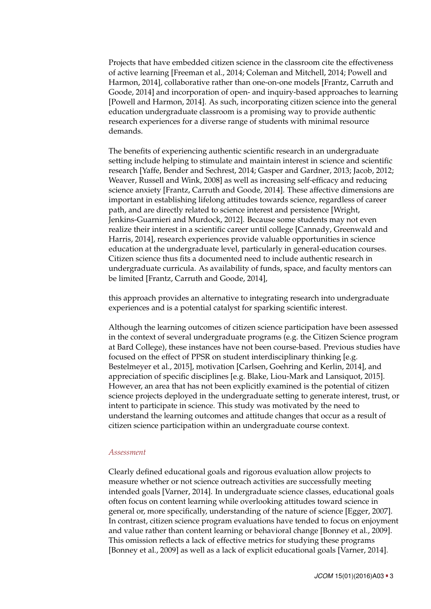Projects that have embedded citizen science in the classroom cite the effectiveness of active learning [Freeman et al., [2014;](#page-20-6) Coleman and Mitchell, [2014;](#page-19-3) Powell and Harmon, [2014\]](#page-21-4), collaborative rather than one-on-one models [Frantz, Carruth and Goode, [2014\]](#page-20-7) and incorporation of open- and inquiry-based approaches to learning [Powell and Harmon, [2014\]](#page-21-4). As such, incorporating citizen science into the general education undergraduate classroom is a promising way to provide authentic research experiences for a diverse range of students with minimal resource demands.

The benefits of experiencing authentic scientific research in an undergraduate setting include helping to stimulate and maintain interest in science and scientific research [Yaffe, Bender and Sechrest, [2014;](#page-22-1) Gasper and Gardner, [2013;](#page-20-8) Jacob, [2012;](#page-20-9) Weaver, Russell and Wink, [2008\]](#page-22-2) as well as increasing self-efficacy and reducing science anxiety [Frantz, Carruth and Goode, [2014\]](#page-20-7). These affective dimensions are important in establishing lifelong attitudes towards science, regardless of career path, and are directly related to science interest and persistence [Wright, Jenkins-Guarnieri and Murdock, [2012\]](#page-22-3). Because some students may not even realize their interest in a scientific career until college [Cannady, Greenwald and Harris, [2014\]](#page-19-4), research experiences provide valuable opportunities in science education at the undergraduate level, particularly in general-education courses. Citizen science thus fits a documented need to include authentic research in undergraduate curricula. As availability of funds, space, and faculty mentors can be limited [Frantz, Carruth and Goode, [2014\]](#page-20-7),

this approach provides an alternative to integrating research into undergraduate experiences and is a potential catalyst for sparking scientific interest.

Although the learning outcomes of citizen science participation have been assessed in the context of several undergraduate programs (e.g. the Citizen Science program at Bard College), these instances have not been course-based. Previous studies have focused on the effect of PPSR on student interdisciplinary thinking [e.g. Bestelmeyer et al., [2015\]](#page-19-5), motivation [Carlsen, Goehring and Kerlin, [2014\]](#page-19-6), and appreciation of specific disciplines [e.g. Blake, Liou-Mark and Lansiquot, [2015\]](#page-19-7). However, an area that has not been explicitly examined is the potential of citizen science projects deployed in the undergraduate setting to generate interest, trust, or intent to participate in science. This study was motivated by the need to understand the learning outcomes and attitude changes that occur as a result of citizen science participation within an undergraduate course context.

### *Assessment*

Clearly defined educational goals and rigorous evaluation allow projects to measure whether or not science outreach activities are successfully meeting intended goals [Varner, [2014\]](#page-22-4). In undergraduate science classes, educational goals often focus on content learning while overlooking attitudes toward science in general or, more specifically, understanding of the nature of science [Egger, [2007\]](#page-20-4). In contrast, citizen science program evaluations have tended to focus on enjoyment and value rather than content learning or behavioral change [Bonney et al., [2009\]](#page-19-2). This omission reflects a lack of effective metrics for studying these programs [Bonney et al., [2009\]](#page-19-2) as well as a lack of explicit educational goals [Varner, [2014\]](#page-22-4).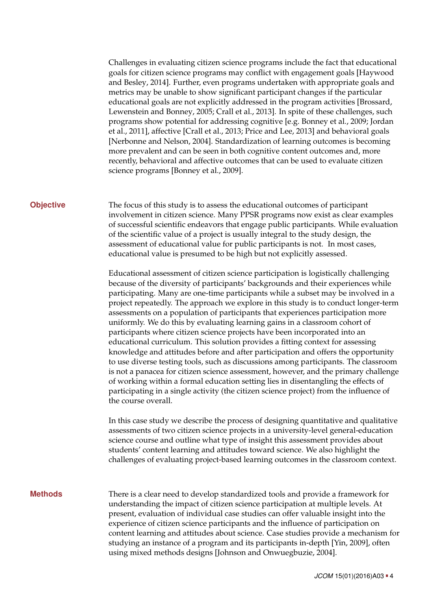Challenges in evaluating citizen science programs include the fact that educational goals for citizen science programs may conflict with engagement goals [Haywood and Besley, [2014\]](#page-20-5). Further, even programs undertaken with appropriate goals and metrics may be unable to show significant participant changes if the particular educational goals are not explicitly addressed in the program activities [Brossard, Lewenstein and Bonney, [2005;](#page-19-8) Crall et al., [2013\]](#page-20-10). In spite of these challenges, such programs show potential for addressing cognitive [e.g. Bonney et al., [2009;](#page-19-2) Jordan et al., [2011\]](#page-20-11), affective [Crall et al., [2013;](#page-20-10) Price and Lee, [2013\]](#page-21-5) and behavioral goals [Nerbonne and Nelson, [2004\]](#page-21-6). Standardization of learning outcomes is becoming more prevalent and can be seen in both cognitive content outcomes and, more recently, behavioral and affective outcomes that can be used to evaluate citizen science programs [Bonney et al., [2009\]](#page-19-2).

**Objective** The focus of this study is to assess the educational outcomes of participant involvement in citizen science. Many PPSR programs now exist as clear examples of successful scientific endeavors that engage public participants. While evaluation of the scientific value of a project is usually integral to the study design, the assessment of educational value for public participants is not. In most cases, educational value is presumed to be high but not explicitly assessed.

> Educational assessment of citizen science participation is logistically challenging because of the diversity of participants' backgrounds and their experiences while participating. Many are one-time participants while a subset may be involved in a project repeatedly. The approach we explore in this study is to conduct longer-term assessments on a population of participants that experiences participation more uniformly. We do this by evaluating learning gains in a classroom cohort of participants where citizen science projects have been incorporated into an educational curriculum. This solution provides a fitting context for assessing knowledge and attitudes before and after participation and offers the opportunity to use diverse testing tools, such as discussions among participants. The classroom is not a panacea for citizen science assessment, however, and the primary challenge of working within a formal education setting lies in disentangling the effects of participating in a single activity (the citizen science project) from the influence of the course overall.

> In this case study we describe the process of designing quantitative and qualitative assessments of two citizen science projects in a university-level general-education science course and outline what type of insight this assessment provides about students' content learning and attitudes toward science. We also highlight the challenges of evaluating project-based learning outcomes in the classroom context.

**Methods** There is a clear need to develop standardized tools and provide a framework for understanding the impact of citizen science participation at multiple levels. At present, evaluation of individual case studies can offer valuable insight into the experience of citizen science participants and the influence of participation on content learning and attitudes about science. Case studies provide a mechanism for studying an instance of a program and its participants in-depth [Yin, [2009\]](#page-22-5), often using mixed methods designs [Johnson and Onwuegbuzie, [2004\]](#page-20-12).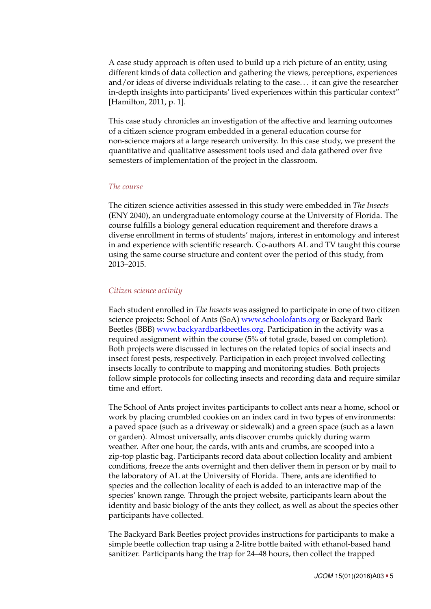A case study approach is often used to build up a rich picture of an entity, using different kinds of data collection and gathering the views, perceptions, experiences and/or ideas of diverse individuals relating to the case. . . it can give the researcher in-depth insights into participants' lived experiences within this particular context" [Hamilton, [2011,](#page-20-13) p. 1].

This case study chronicles an investigation of the affective and learning outcomes of a citizen science program embedded in a general education course for non-science majors at a large research university. In this case study, we present the quantitative and qualitative assessment tools used and data gathered over five semesters of implementation of the project in the classroom.

## *The course*

The citizen science activities assessed in this study were embedded in *The Insects* (ENY 2040), an undergraduate entomology course at the University of Florida. The course fulfills a biology general education requirement and therefore draws a diverse enrollment in terms of students' majors, interest in entomology and interest in and experience with scientific research. Co-authors AL and TV taught this course using the same course structure and content over the period of this study, from 2013–2015.

## *Citizen science activity*

Each student enrolled in *The Insects* was assigned to participate in one of two citizen science projects: School of Ants (SoA) [www.schoolofants.org](http://www.schoolofants.org) or Backyard Bark Beetles (BBB) [www.backyardbarkbeetles.org.](http://www.backyardbarkbeetles.org) Participation in the activity was a required assignment within the course (5% of total grade, based on completion). Both projects were discussed in lectures on the related topics of social insects and insect forest pests, respectively. Participation in each project involved collecting insects locally to contribute to mapping and monitoring studies. Both projects follow simple protocols for collecting insects and recording data and require similar time and effort.

The School of Ants project invites participants to collect ants near a home, school or work by placing crumbled cookies on an index card in two types of environments: a paved space (such as a driveway or sidewalk) and a green space (such as a lawn or garden). Almost universally, ants discover crumbs quickly during warm weather. After one hour, the cards, with ants and crumbs, are scooped into a zip-top plastic bag. Participants record data about collection locality and ambient conditions, freeze the ants overnight and then deliver them in person or by mail to the laboratory of AL at the University of Florida. There, ants are identified to species and the collection locality of each is added to an interactive map of the species' known range. Through the project website, participants learn about the identity and basic biology of the ants they collect, as well as about the species other participants have collected.

The Backyard Bark Beetles project provides instructions for participants to make a simple beetle collection trap using a 2-litre bottle baited with ethanol-based hand sanitizer. Participants hang the trap for 24–48 hours, then collect the trapped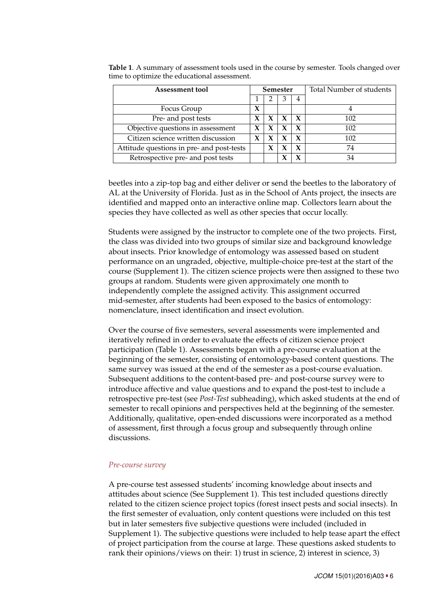| Assessment tool                           |  | <b>Semester</b> |   |  | Total Number of students |
|-------------------------------------------|--|-----------------|---|--|--------------------------|
|                                           |  |                 | 3 |  |                          |
| Focus Group                               |  |                 |   |  |                          |
| Pre- and post tests                       |  |                 | X |  | 102                      |
| Objective questions in assessment         |  | X               | X |  | 102                      |
| Citizen science written discussion        |  |                 |   |  | 102                      |
| Attitude questions in pre- and post-tests |  |                 |   |  | 74                       |
| Retrospective pre- and post tests         |  |                 |   |  | 34                       |

<span id="page-5-0"></span>**Table 1**. A summary of assessment tools used in the course by semester. Tools changed over time to optimize the educational assessment.

beetles into a zip-top bag and either deliver or send the beetles to the laboratory of AL at the University of Florida. Just as in the School of Ants project, the insects are identified and mapped onto an interactive online map. Collectors learn about the species they have collected as well as other species that occur locally.

Students were assigned by the instructor to complete one of the two projects. First, the class was divided into two groups of similar size and background knowledge about insects. Prior knowledge of entomology was assessed based on student performance on an ungraded, objective, multiple-choice pre-test at the start of the course (Supplement 1). The citizen science projects were then assigned to these two groups at random. Students were given approximately one month to independently complete the assigned activity. This assignment occurred mid-semester, after students had been exposed to the basics of entomology: nomenclature, insect identification and insect evolution.

Over the course of five semesters, several assessments were implemented and iteratively refined in order to evaluate the effects of citizen science project participation (Table [1\)](#page-5-0). Assessments began with a pre-course evaluation at the beginning of the semester, consisting of entomology-based content questions. The same survey was issued at the end of the semester as a post-course evaluation. Subsequent additions to the content-based pre- and post-course survey were to introduce affective and value questions and to expand the post-test to include a retrospective pre-test (see *Post-Test* subheading), which asked students at the end of semester to recall opinions and perspectives held at the beginning of the semester. Additionally, qualitative, open-ended discussions were incorporated as a method of assessment, first through a focus group and subsequently through online discussions.

# *Pre-course survey*

A pre-course test assessed students' incoming knowledge about insects and attitudes about science (See Supplement 1). This test included questions directly related to the citizen science project topics (forest insect pests and social insects). In the first semester of evaluation, only content questions were included on this test but in later semesters five subjective questions were included (included in Supplement 1). The subjective questions were included to help tease apart the effect of project participation from the course at large. These questions asked students to rank their opinions/views on their: 1) trust in science, 2) interest in science, 3)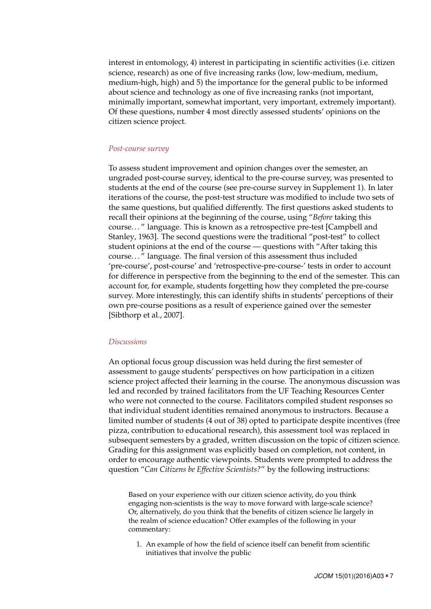interest in entomology, 4) interest in participating in scientific activities (i.e. citizen science, research) as one of five increasing ranks (low, low-medium, medium, medium-high, high) and 5) the importance for the general public to be informed about science and technology as one of five increasing ranks (not important, minimally important, somewhat important, very important, extremely important). Of these questions, number 4 most directly assessed students' opinions on the citizen science project.

### *Post-course survey*

To assess student improvement and opinion changes over the semester, an ungraded post-course survey, identical to the pre-course survey, was presented to students at the end of the course (see pre-course survey in Supplement 1). In later iterations of the course, the post-test structure was modified to include two sets of the same questions, but qualified differently. The first questions asked students to recall their opinions at the beginning of the course, using "*Before* taking this course. . . " language. This is known as a retrospective pre-test [Campbell and Stanley, [1963\]](#page-19-9). The second questions were the traditional "post-test" to collect student opinions at the end of the course — questions with "After taking this course. . . " language. The final version of this assessment thus included 'pre-course', post-course' and 'retrospective-pre-course-' tests in order to account for difference in perspective from the beginning to the end of the semester. This can account for, for example, students forgetting how they completed the pre-course survey. More interestingly, this can identify shifts in students' perceptions of their own pre-course positions as a result of experience gained over the semester [Sibthorp et al., [2007\]](#page-21-7).

### *Discussions*

An optional focus group discussion was held during the first semester of assessment to gauge students' perspectives on how participation in a citizen science project affected their learning in the course. The anonymous discussion was led and recorded by trained facilitators from the UF Teaching Resources Center who were not connected to the course. Facilitators compiled student responses so that individual student identities remained anonymous to instructors. Because a limited number of students (4 out of 38) opted to participate despite incentives (free pizza, contribution to educational research), this assessment tool was replaced in subsequent semesters by a graded, written discussion on the topic of citizen science. Grading for this assignment was explicitly based on completion, not content, in order to encourage authentic viewpoints. Students were prompted to address the question "*Can Citizens be Effective Scientists?*" by the following instructions:

Based on your experience with our citizen science activity, do you think engaging non-scientists is the way to move forward with large-scale science? Or, alternatively, do you think that the benefits of citizen science lie largely in the realm of science education? Offer examples of the following in your commentary:

1. An example of how the field of science itself can benefit from scientific initiatives that involve the public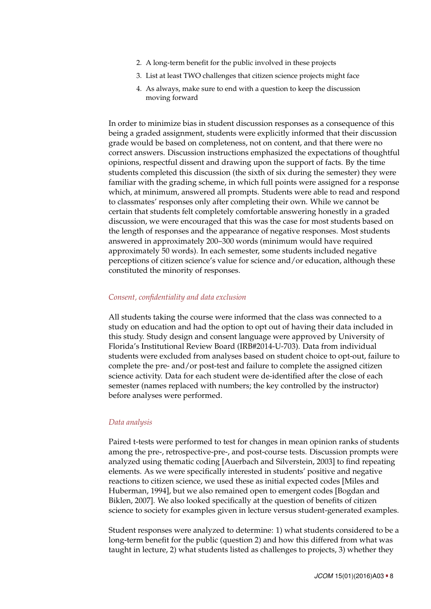- 2. A long-term benefit for the public involved in these projects
- 3. List at least TWO challenges that citizen science projects might face
- 4. As always, make sure to end with a question to keep the discussion moving forward

In order to minimize bias in student discussion responses as a consequence of this being a graded assignment, students were explicitly informed that their discussion grade would be based on completeness, not on content, and that there were no correct answers. Discussion instructions emphasized the expectations of thoughtful opinions, respectful dissent and drawing upon the support of facts. By the time students completed this discussion (the sixth of six during the semester) they were familiar with the grading scheme, in which full points were assigned for a response which, at minimum, answered all prompts. Students were able to read and respond to classmates' responses only after completing their own. While we cannot be certain that students felt completely comfortable answering honestly in a graded discussion, we were encouraged that this was the case for most students based on the length of responses and the appearance of negative responses. Most students answered in approximately 200–300 words (minimum would have required approximately 50 words). In each semester, some students included negative perceptions of citizen science's value for science and/or education, although these constituted the minority of responses.

### *Consent, confidentiality and data exclusion*

All students taking the course were informed that the class was connected to a study on education and had the option to opt out of having their data included in this study. Study design and consent language were approved by University of Florida's Institutional Review Board (IRB#2014-U-703). Data from individual students were excluded from analyses based on student choice to opt-out, failure to complete the pre- and/or post-test and failure to complete the assigned citizen science activity. Data for each student were de-identified after the close of each semester (names replaced with numbers; the key controlled by the instructor) before analyses were performed.

#### *Data analysis*

Paired t-tests were performed to test for changes in mean opinion ranks of students among the pre-, retrospective-pre-, and post-course tests. Discussion prompts were analyzed using thematic coding [Auerbach and Silverstein, [2003\]](#page-19-10) to find repeating elements. As we were specifically interested in students' positive and negative reactions to citizen science, we used these as initial expected codes [Miles and Huberman, [1994\]](#page-21-8), but we also remained open to emergent codes [Bogdan and Biklen, [2007\]](#page-19-11). We also looked specifically at the question of benefits of citizen science to society for examples given in lecture versus student-generated examples.

Student responses were analyzed to determine: 1) what students considered to be a long-term benefit for the public (question 2) and how this differed from what was taught in lecture, 2) what students listed as challenges to projects, 3) whether they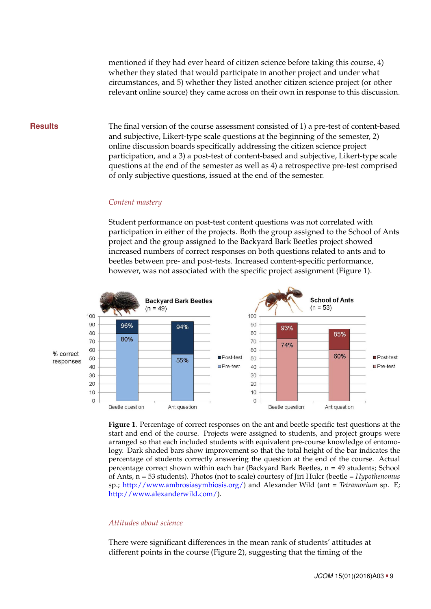mentioned if they had ever heard of citizen science before taking this course, 4) whether they stated that would participate in another project and under what circumstances, and 5) whether they listed another citizen science project (or other relevant online source) they came across on their own in response to this discussion.

**Results** The final version of the course assessment consisted of 1) a pre-test of content-based and subjective, Likert-type scale questions at the beginning of the semester, 2) online discussion boards specifically addressing the citizen science project participation, and a 3) a post-test of content-based and subjective, Likert-type scale questions at the end of the semester as well as 4) a retrospective pre-test comprised of only subjective questions, issued at the end of the semester.

#### *Content mastery*

Student performance on post-test content questions was not correlated with participation in either of the projects. Both the group assigned to the School of Ants project and the group assigned to the Backyard Bark Beetles project showed increased numbers of correct responses on both questions related to ants and to beetles between pre- and post-tests. Increased content-specific performance, however, was not associated with the specific project assignment (Figure [1\)](#page-8-0).



<span id="page-8-0"></span>**Figure 1**. Percentage of correct responses on the ant and beetle specific test questions at the start and end of the course. Projects were assigned to students, and project groups were arranged so that each included students with equivalent pre-course knowledge of entomology. Dark shaded bars show improvement so that the total height of the bar indicates the percentage of students correctly answering the question at the end of the course. Actual percentage correct shown within each bar (Backyard Bark Beetles, n = 49 students; School of Ants, n = 53 students). Photos (not to scale) courtesy of Jiri Hulcr (beetle = *Hypothenomus* sp.; [http://www.ambrosiasymbiosis.org/\)](http://www.ambrosiasymbiosis.org/) and Alexander Wild (ant = *Tetramorium* sp. E; [http://www.alexanderwild.com/\)](http://www.alexanderwild.com/).

# *Attitudes about science*

There were significant differences in the mean rank of students' attitudes at different points in the course (Figure [2\)](#page-9-0), suggesting that the timing of the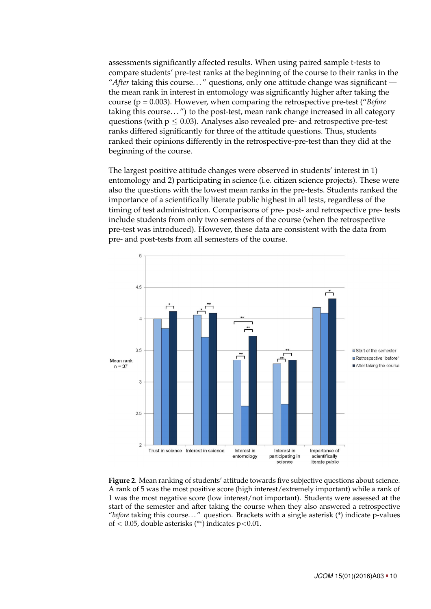assessments significantly affected results. When using paired sample t-tests to compare students' pre-test ranks at the beginning of the course to their ranks in the "*After* taking this course. . . " questions, only one attitude change was significant the mean rank in interest in entomology was significantly higher after taking the course (p = 0.003). However, when comparing the retrospective pre-test ("*Before* taking this course...") to the post-test, mean rank change increased in all category questions (with  $p \le 0.03$ ). Analyses also revealed pre- and retrospective pre-test ranks differed significantly for three of the attitude questions. Thus, students ranked their opinions differently in the retrospective-pre-test than they did at the beginning of the course.

The largest positive attitude changes were observed in students' interest in 1) entomology and 2) participating in science (i.e. citizen science projects). These were also the questions with the lowest mean ranks in the pre-tests. Students ranked the importance of a scientifically literate public highest in all tests, regardless of the timing of test administration. Comparisons of pre- post- and retrospective pre- tests include students from only two semesters of the course (when the retrospective pre-test was introduced). However, these data are consistent with the data from pre- and post-tests from all semesters of the course.



<span id="page-9-0"></span>**Figure 2**. Mean ranking of students' attitude towards five subjective questions about science. A rank of 5 was the most positive score (high interest/extremely important) while a rank of 1 was the most negative score (low interest/not important). Students were assessed at the start of the semester and after taking the course when they also answered a retrospective "*before* taking this course. . . " question. Brackets with a single asterisk (\*) indicate p-values of  $< 0.05$ , double asterisks (\*\*) indicates p $< 0.01$ .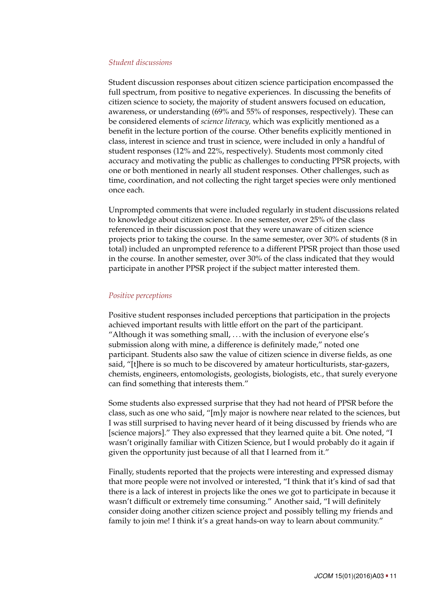### *Student discussions*

Student discussion responses about citizen science participation encompassed the full spectrum, from positive to negative experiences. In discussing the benefits of citizen science to society, the majority of student answers focused on education, awareness, or understanding (69% and 55% of responses, respectively). These can be considered elements of *science literacy,* which was explicitly mentioned as a benefit in the lecture portion of the course. Other benefits explicitly mentioned in class, interest in science and trust in science, were included in only a handful of student responses (12% and 22%, respectively). Students most commonly cited accuracy and motivating the public as challenges to conducting PPSR projects, with one or both mentioned in nearly all student responses. Other challenges, such as time, coordination, and not collecting the right target species were only mentioned once each.

Unprompted comments that were included regularly in student discussions related to knowledge about citizen science. In one semester, over 25% of the class referenced in their discussion post that they were unaware of citizen science projects prior to taking the course. In the same semester, over 30% of students (8 in total) included an unprompted reference to a different PPSR project than those used in the course. In another semester, over 30% of the class indicated that they would participate in another PPSR project if the subject matter interested them.

### *Positive perceptions*

Positive student responses included perceptions that participation in the projects achieved important results with little effort on the part of the participant. "Although it was something small, . . . with the inclusion of everyone else's submission along with mine, a difference is definitely made," noted one participant. Students also saw the value of citizen science in diverse fields, as one said, "[t]here is so much to be discovered by amateur horticulturists, star-gazers, chemists, engineers, entomologists, geologists, biologists, etc., that surely everyone can find something that interests them."

Some students also expressed surprise that they had not heard of PPSR before the class, such as one who said, "[m]y major is nowhere near related to the sciences, but I was still surprised to having never heard of it being discussed by friends who are [science majors]." They also expressed that they learned quite a bit. One noted, "I wasn't originally familiar with Citizen Science, but I would probably do it again if given the opportunity just because of all that I learned from it."

Finally, students reported that the projects were interesting and expressed dismay that more people were not involved or interested, "I think that it's kind of sad that there is a lack of interest in projects like the ones we got to participate in because it wasn't difficult or extremely time consuming." Another said, "I will definitely consider doing another citizen science project and possibly telling my friends and family to join me! I think it's a great hands-on way to learn about community."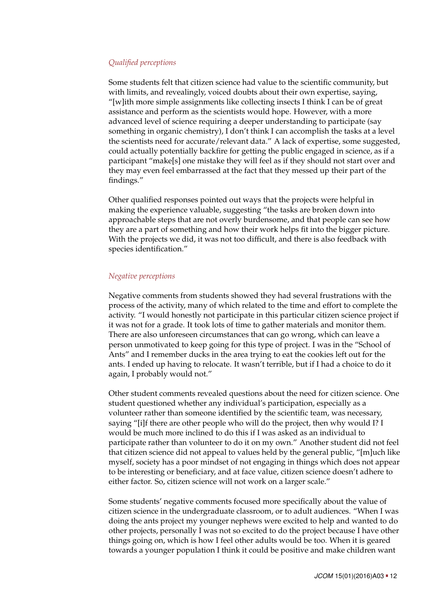# *Qualified perceptions*

Some students felt that citizen science had value to the scientific community, but with limits, and revealingly, voiced doubts about their own expertise, saying, "[w]ith more simple assignments like collecting insects I think I can be of great assistance and perform as the scientists would hope. However, with a more advanced level of science requiring a deeper understanding to participate (say something in organic chemistry), I don't think I can accomplish the tasks at a level the scientists need for accurate/relevant data." A lack of expertise, some suggested, could actually potentially backfire for getting the public engaged in science, as if a participant "make[s] one mistake they will feel as if they should not start over and they may even feel embarrassed at the fact that they messed up their part of the findings."

Other qualified responses pointed out ways that the projects were helpful in making the experience valuable, suggesting "the tasks are broken down into approachable steps that are not overly burdensome, and that people can see how they are a part of something and how their work helps fit into the bigger picture. With the projects we did, it was not too difficult, and there is also feedback with species identification."

## *Negative perceptions*

Negative comments from students showed they had several frustrations with the process of the activity, many of which related to the time and effort to complete the activity. "I would honestly not participate in this particular citizen science project if it was not for a grade. It took lots of time to gather materials and monitor them. There are also unforeseen circumstances that can go wrong, which can leave a person unmotivated to keep going for this type of project. I was in the "School of Ants" and I remember ducks in the area trying to eat the cookies left out for the ants. I ended up having to relocate. It wasn't terrible, but if I had a choice to do it again, I probably would not."

Other student comments revealed questions about the need for citizen science. One student questioned whether any individual's participation, especially as a volunteer rather than someone identified by the scientific team, was necessary, saying "[i]f there are other people who will do the project, then why would I? I would be much more inclined to do this if I was asked as an individual to participate rather than volunteer to do it on my own." Another student did not feel that citizen science did not appeal to values held by the general public, "[m]uch like myself, society has a poor mindset of not engaging in things which does not appear to be interesting or beneficiary, and at face value, citizen science doesn't adhere to either factor. So, citizen science will not work on a larger scale."

Some students' negative comments focused more specifically about the value of citizen science in the undergraduate classroom, or to adult audiences. "When I was doing the ants project my younger nephews were excited to help and wanted to do other projects, personally I was not so excited to do the project because I have other things going on, which is how I feel other adults would be too. When it is geared towards a younger population I think it could be positive and make children want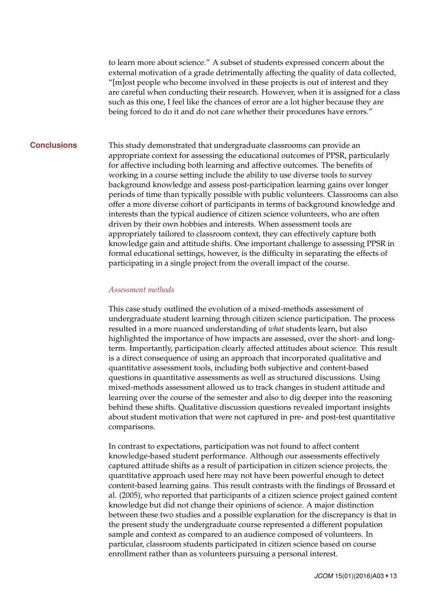to learn more about science." A subset of students expressed concern about the external motivation of a grade detrimentally affecting the quality of data collected, "[m]ost people who become involved in these projects is out of interest and they are careful when conducting their research. However, when it is assigned for a class such as this one, I feel like the chances of error are a lot higher because they are being forced to do it and do not care whether their procedures have errors."

**Conclusions** This study demonstrated that undergraduate classrooms can provide an appropriate context for assessing the educational outcomes of PPSR, particularly for affective including both learning and affective outcomes. The benefits of working in a course setting include the ability to use diverse tools to survey background knowledge and assess post-participation learning gains over longer periods of time than typically possible with public volunteers. Classrooms can also offer a more diverse cohort of participants in terms of background knowledge and interests than the typical audience of citizen science volunteers, who are often driven by their own hobbies and interests. When assessment tools are appropriately tailored to classroom context, they can effectively capture both knowledge gain and attitude shifts. One important challenge to assessing PPSR in formal educational settings, however, is the difficulty in separating the effects of participating in a single project from the overall impact of the course.

### *Assessment methods*

This case study outlined the evolution of a mixed-methods assessment of undergraduate student learning through citizen science participation. The process resulted in a more nuanced understanding of *what* students learn, but also highlighted the importance of how impacts are assessed, over the short- and longterm. Importantly, participation clearly affected attitudes about science. This result is a direct consequence of using an approach that incorporated qualitative and quantitative assessment tools, including both subjective and content-based questions in quantitative assessments as well as structured discussions. Using mixed-methods assessment allowed us to track changes in student attitude and learning over the course of the semester and also to dig deeper into the reasoning behind these shifts. Qualitative discussion questions revealed important insights about student motivation that were not captured in pre- and post-test quantitative comparisons.

In contrast to expectations, participation was not found to affect content knowledge-based student performance. Although our assessments effectively captured attitude shifts as a result of participation in citizen science projects, the quantitative approach used here may not have been powerful enough to detect content-based learning gains. This result contrasts with the findings of Brossard et al. (2005), who reported that participants of a citizen science project gained content knowledge but did not change their opinions of science. A major distinction between these two studies and a possible explanation for the discrepancy is that in the present study the undergraduate course represented a different population sample and context as compared to an audience composed of volunteers. In particular, classroom students participated in citizen science based on course enrollment rather than as volunteers pursuing a personal interest.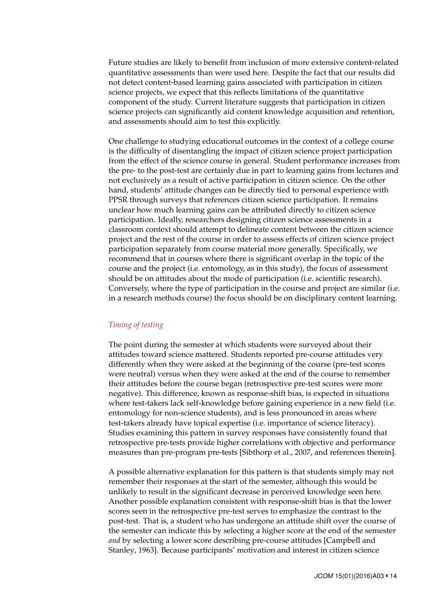Future studies are likely to benefit from inclusion of more extensive content-related quantitative assessments than were used here. Despite the fact that our results did not detect content-based learning gains associated with participation in citizen science projects, we expect that this reflects limitations of the quantitative component of the study. Current literature suggests that participation in citizen science projects can significantly aid content knowledge acquisition and retention, and assessments should aim to test this explicitly.

One challenge to studying educational outcomes in the context of a college course is the difficulty of disentangling the impact of citizen science project participation from the effect of the science course in general. Student performance increases from the pre- to the post-test are certainly due in part to learning gains from lectures and not exclusively as a result of active participation in citizen science. On the other hand, students' attitude changes can be directly tied to personal experience with PPSR through surveys that references citizen science participation. It remains unclear how much learning gains can be attributed directly to citizen science participation. Ideally, researchers designing citizen science assessments in a classroom context should attempt to delineate content between the citizen science project and the rest of the course in order to assess effects of citizen science project participation separately from course material more generally. Specifically, we recommend that in courses where there is significant overlap in the topic of the course and the project (i.e. entomology, as in this study), the focus of assessment should be on attitudes about the mode of participation (i.e. scientific research). Conversely, where the type of participation in the course and project are similar (i.e. in a research methods course) the focus should be on disciplinary content learning.

# *Timing of testing*

The point during the semester at which students were surveyed about their attitudes toward science mattered. Students reported pre-course attitudes very differently when they were asked at the beginning of the course (pre-test scores were neutral) versus when they were asked at the end of the course to remember their attitudes before the course began (retrospective pre-test scores were more negative). This difference, known as response-shift bias, is expected in situations where test-takers lack self-knowledge before gaining experience in a new field (i.e. entomology for non-science students), and is less pronounced in areas where test-takers already have topical expertise (i.e. importance of science literacy). Studies examining this pattern in survey responses have consistently found that retrospective pre-tests provide higher correlations with objective and performance measures than pre-program pre-tests [Sibthorp et al., [2007,](#page-21-7) and references therein].

A possible alternative explanation for this pattern is that students simply may not remember their responses at the start of the semester, although this would be unlikely to result in the significant decrease in perceived knowledge seen here. Another possible explanation consistent with response-shift bias is that the lower scores seen in the retrospective pre-test serves to emphasize the contrast to the post-test. That is, a student who has undergone an attitude shift over the course of the semester can indicate this by selecting a higher score at the end of the semester *and* by selecting a lower score describing pre-course attitudes [Campbell and Stanley, [1963\]](#page-19-9). Because participants' motivation and interest in citizen science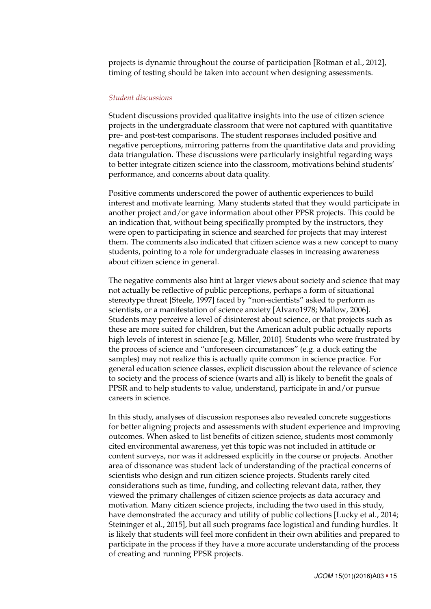projects is dynamic throughout the course of participation [Rotman et al., [2012\]](#page-21-9), timing of testing should be taken into account when designing assessments.

## *Student discussions*

Student discussions provided qualitative insights into the use of citizen science projects in the undergraduate classroom that were not captured with quantitative pre- and post-test comparisons. The student responses included positive and negative perceptions, mirroring patterns from the quantitative data and providing data triangulation. These discussions were particularly insightful regarding ways to better integrate citizen science into the classroom, motivations behind students' performance, and concerns about data quality.

Positive comments underscored the power of authentic experiences to build interest and motivate learning. Many students stated that they would participate in another project and/or gave information about other PPSR projects. This could be an indication that, without being specifically prompted by the instructors, they were open to participating in science and searched for projects that may interest them. The comments also indicated that citizen science was a new concept to many students, pointing to a role for undergraduate classes in increasing awareness about citizen science in general.

The negative comments also hint at larger views about society and science that may not actually be reflective of public perceptions, perhaps a form of situational stereotype threat [Steele, [1997\]](#page-21-10) faced by "non-scientists" asked to perform as scientists, or a manifestation of science anxiety [Alvaro1978; Mallow, [2006\]](#page-21-11). Students may perceive a level of disinterest about science, or that projects such as these are more suited for children, but the American adult public actually reports high levels of interest in science [e.g. Miller, [2010\]](#page-21-12). Students who were frustrated by the process of science and "unforeseen circumstances" (e.g. a duck eating the samples) may not realize this is actually quite common in science practice. For general education science classes, explicit discussion about the relevance of science to society and the process of science (warts and all) is likely to benefit the goals of PPSR and to help students to value, understand, participate in and/or pursue careers in science.

In this study, analyses of discussion responses also revealed concrete suggestions for better aligning projects and assessments with student experience and improving outcomes. When asked to list benefits of citizen science, students most commonly cited environmental awareness, yet this topic was not included in attitude or content surveys, nor was it addressed explicitly in the course or projects. Another area of dissonance was student lack of understanding of the practical concerns of scientists who design and run citizen science projects. Students rarely cited considerations such as time, funding, and collecting relevant data, rather, they viewed the primary challenges of citizen science projects as data accuracy and motivation. Many citizen science projects, including the two used in this study, have demonstrated the accuracy and utility of public collections [Lucky et al., [2014;](#page-20-0) Steininger et al., [2015\]](#page-21-13), but all such programs face logistical and funding hurdles. It is likely that students will feel more confident in their own abilities and prepared to participate in the process if they have a more accurate understanding of the process of creating and running PPSR projects.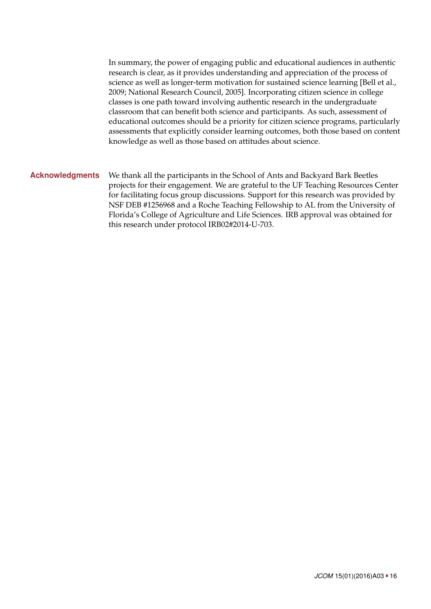In summary, the power of engaging public and educational audiences in authentic research is clear, as it provides understanding and appreciation of the process of science as well as longer-term motivation for sustained science learning [Bell et al., [2009;](#page-19-12) National Research Council, [2005\]](#page-21-14). Incorporating citizen science in college classes is one path toward involving authentic research in the undergraduate classroom that can benefit both science and participants. As such, assessment of educational outcomes should be a priority for citizen science programs, particularly assessments that explicitly consider learning outcomes, both those based on content knowledge as well as those based on attitudes about science.

# **Acknowledgments** We thank all the participants in the School of Ants and Backyard Bark Beetles projects for their engagement. We are grateful to the UF Teaching Resources Center for facilitating focus group discussions. Support for this research was provided by NSF DEB #1256968 and a Roche Teaching Fellowship to AL from the University of Florida's College of Agriculture and Life Sciences. IRB approval was obtained for this research under protocol IRB02#2014-U-703.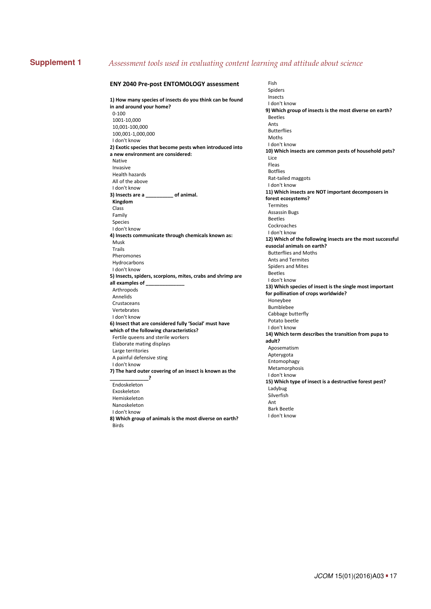#### **Supplement 1** *Assessment tools used in evaluating content learning and attitude about science*  $\circ$   $\circ$   $\circ$

#### **ENY 2040 Prepost ENTOMOLOGY assessment**

**1) How many species of insects do you think can be found in and around your home?**   $0 - 100$ 1001-10,000 10,001-100,000 100,0011,000,000 I don't know **2) Exotic species that become pests when introduced into a new environment are considered:** Native Invasive Health hazards All of the above I don't know **3) Insects are a \_\_\_\_\_\_\_\_\_\_ of animal. Kingdom**  Class Family Species I don't know **4) Insects communicate through chemicals known as:** Musk Trails Pheromones Hydrocarbons I don't know **5) Insects, spiders, scorpions, mites, crabs and shrimp are all examples of \_\_\_\_\_\_\_\_\_\_\_\_\_\_** Arthropods Annelids Crustaceans Vertebrates I don't know **6) Insect that are considered fully 'Social' must have which of the following characteristics?** Fertile queens and sterile workers Elaborate mating displays Large territories A painful defensive sting I don't know **7) The hard outer covering of an insect is known as the \_\_\_\_\_\_\_\_\_\_\_\_\_\_?** Endoskeleton Exoskeleton Hemiskeleton Nanoskeleton I don't know **8) Which group of animals is the most diverse on earth?** Birds

 Fish Spiders Insects I don't know **9) Which group of insects is the most diverse on earth?** Beetles Ants Butterflies Moths I don't know **10) Which insects are common pests of household pets?** Lice Fleas Botflies Rat-tailed maggots I don't know **11) Which insects are NOT important decomposers in forest ecosystems?** Termites Assassin Bugs Beetles Cockroaches I don't know **12) Which of the following insects are the most successful eusocial animals on earth?** Butterflies and Moths Ants and Termites Spiders and Mites Beetles I don't know **13) Which species of insect is the single most important for pollination of crops worldwide?** Honeybee Bumblebee Cabbage butterfly Potato beetle I don't know **14) Which term describes the transition from pupa to adult?** Aposematism Apterygota Entomophagy Metamorphosis I don't know **15) Which type of insect is a destructive forest pest?** Ladybug Silverfish Ant Bark Beetle I don't know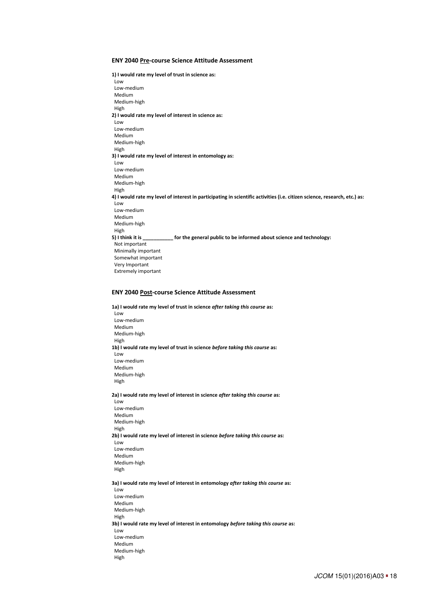#### **ENY 2040 Pre-course Science Attitude Assessment**

**1) I would rate my level of trust in science as:**  Low Low-medium Medium Medium-high High **2) I would rate my level of interest in science as:**  Low Low-medium Medium Medium-high High **3) I would rate my level of interest in entomology as:**  Low Low-medium Medium Medium-high High **4) I would rate my level of interest in participating in scientific activities (i.e. citizen science, research, etc.) as:**  Low Low-medium Medium Medium-high High **5) I think it is \_\_\_\_\_\_\_\_\_\_\_ for the general public to be informed about science and technology:**  Not important Minimally important Somewhat important Very Important Extremely important

#### **ENY 2040 Post-course Science Attitude Assessment**

**1a) I would rate my level of trust in science** *after taking this course* **as:** 

 Low Low-medium Medium Medium-high High **1b) I would rate my level of trust in science** *before taking this course* **as:**  Low Low-medium Medium Medium-high High **2a) I would rate my level of interest in science** *after taking this course* **as:**  Low Low-medium Medium Medium-high High **2b) I would rate my level of interest in science** *before taking this course* **as:**  Low Low-medium Medium Medium-high High **3a) I would rate my level of interest in entomology** *after taking this course* **as:**  Low Low-medium Medium Medium-high High **3b) I would rate my level of interest in entomology** *before taking this course* **as:**  Low Low-medium Medium Medium-high High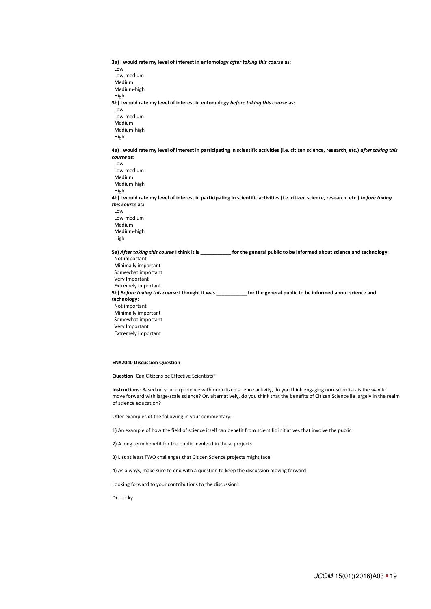**3a) I would rate my level of interest in entomology** *after taking this course* **as:**  Low Low-medium Medium Medium-high High **3b) I would rate my level of interest in entomology** *before taking this course* **as:**  Low Low-medium Medium Medium-high High

**4a) I would rate my level of interest in participating in scientific activities (i.e. citizen science, research, etc.)** *after taking this course* **as:**  Low

 Low-medium Medium Medium-high High **4b) I would rate my level of interest in participating in scientific activities (i.e. citizen science, research, etc.)** *before taking this course* **as:**  Low Low-medium Medium Medium-high

High

**5a)** *After taking this course* **I think it is \_\_\_\_\_\_\_\_\_\_\_ for the general public to be informed about science and technology:** 

 Not important Minimally important Somewhat important Very Important Extremely important **5b)** *Before taking this course* **I thought it was \_\_\_\_\_\_\_\_\_\_\_ for the general public to be informed about science and technology:**  Not important Minimally important Somewhat important Very Important Extremely important

#### **ENY2040 Discussion Question**

**Question**: Can Citizens be Effective Scientists?

NOT FOR DISTRIBUTION JCOM\_017A\_0615 v2 **Instructions**: Based on your experience with our citizen science activity, do you think engaging non-scientists is the way to move forward with large-scale science? Or, alternatively, do you think that the benefits of Citizen Science lie largely in the realm of science education?

Offer examples of the following in your commentary:

1) An example of how the field of science itself can benefit from scientific initiatives that involve the public

2) A long term benefit for the public involved in these projects

3) List at least TWO challenges that Citizen Science projects might face

4) As always, make sure to end with a question to keep the discussion moving forward

Looking forward to your contributions to the discussion!

Dr. Lucky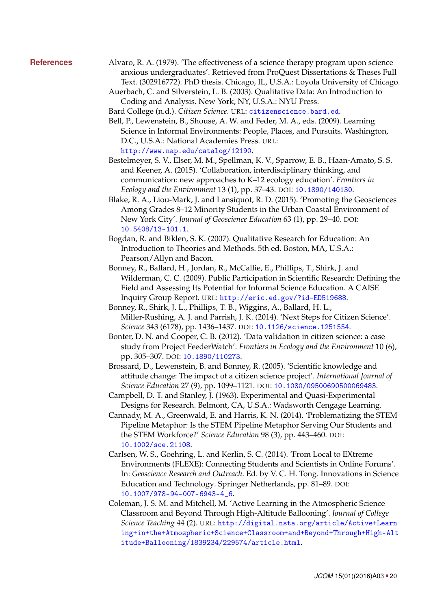- **References** Alvaro, R. A. (1979). 'The effectiveness of a science therapy program upon science anxious undergraduates'. Retrieved from ProQuest Dissertations & Theses Full Text. (302916772). PhD thesis. Chicago, IL, U.S.A.: Loyola University of Chicago.
	- Auerbach, C. and Silverstein, L. B. (2003). Qualitative Data: An Introduction to Coding and Analysis. New York, NY, U.S.A.: NYU Press.

<span id="page-19-10"></span>Bard College (n.d.). *Citizen Science*. URL: <citizenscience.bard.ed>.

- <span id="page-19-12"></span>Bell, P., Lewenstein, B., Shouse, A. W. and Feder, M. A., eds. (2009). Learning Science in Informal Environments: People, Places, and Pursuits. Washington, D.C., U.S.A.: National Academies Press. URL: <http://www.nap.edu/catalog/12190>.
- <span id="page-19-5"></span>Bestelmeyer, S. V., Elser, M. M., Spellman, K. V., Sparrow, E. B., Haan-Amato, S. S. and Keener, A. (2015). 'Collaboration, interdisciplinary thinking, and communication: new approaches to K–12 ecology education'. *Frontiers in Ecology and the Environment* 13 (1), pp. 37–43. DOI: [10.1890/140130](http://dx.doi.org/10.1890/140130).
- <span id="page-19-7"></span>Blake, R. A., Liou-Mark, J. and Lansiquot, R. D. (2015). 'Promoting the Geosciences Among Grades 8–12 Minority Students in the Urban Coastal Environment of New York City'. *Journal of Geoscience Education* 63 (1), pp. 29–40. DOI: [10.5408/13-101.1](http://dx.doi.org/10.5408/13-101.1).
- <span id="page-19-11"></span>Bogdan, R. and Biklen, S. K. (2007). Qualitative Research for Education: An Introduction to Theories and Methods. 5th ed. Boston, MA, U.S.A.: Pearson/Allyn and Bacon.
- <span id="page-19-2"></span>Bonney, R., Ballard, H., Jordan, R., McCallie, E., Phillips, T., Shirk, J. and Wilderman, C. C. (2009). Public Participation in Scientific Research: Defining the Field and Assessing Its Potential for Informal Science Education. A CAISE Inquiry Group Report. URL: <http://eric.ed.gov/?id=ED519688>.
- <span id="page-19-0"></span>Bonney, R., Shirk, J. L., Phillips, T. B., Wiggins, A., Ballard, H. L., Miller-Rushing, A. J. and Parrish, J. K. (2014). 'Next Steps for Citizen Science'. *Science* 343 (6178), pp. 1436–1437. DOI: [10.1126/science.1251554](http://dx.doi.org/10.1126/science.1251554).
- <span id="page-19-1"></span>Bonter, D. N. and Cooper, C. B. (2012). 'Data validation in citizen science: a case study from Project FeederWatch'. *Frontiers in Ecology and the Environment* 10 (6), pp. 305–307. DOI: [10.1890/110273](http://dx.doi.org/10.1890/110273).
- <span id="page-19-8"></span>Brossard, D., Lewenstein, B. and Bonney, R. (2005). 'Scientific knowledge and attitude change: The impact of a citizen science project'. *International Journal of Science Education* 27 (9), pp. 1099–1121. DOI: [10.1080/09500690500069483](http://dx.doi.org/10.1080/09500690500069483).
- <span id="page-19-9"></span>Campbell, D. T. and Stanley, J. (1963). Experimental and Quasi-Experimental Designs for Research. Belmont, CA, U.S.A.: Wadsworth Cengage Learning.
- <span id="page-19-4"></span>Cannady, M. A., Greenwald, E. and Harris, K. N. (2014). 'Problematizing the STEM Pipeline Metaphor: Is the STEM Pipeline Metaphor Serving Our Students and the STEM Workforce?' *Science Education* 98 (3), pp. 443–460. DOI: [10.1002/sce.21108](http://dx.doi.org/10.1002/sce.21108).
- <span id="page-19-6"></span>Carlsen, W. S., Goehring, L. and Kerlin, S. C. (2014). 'From Local to EXtreme Environments (FLEXE): Connecting Students and Scientists in Online Forums'. In: *Geoscience Research and Outreach*. Ed. by V. C. H. Tong. Innovations in Science Education and Technology. Springer Netherlands, pp. 81–89. DOI: [10.1007/978-94-007-6943-4\\_6](http://dx.doi.org/10.1007/978-94-007-6943-4_6).
- <span id="page-19-3"></span>Coleman, J. S. M. and Mitchell, M. 'Active Learning in the Atmospheric Science Classroom and Beyond Through High-Altitude Ballooning'. *Journal of College Science Teaching* 44 (2). URL: [http://digital.nsta.org/article/Active+Learn](http://digital.nsta.org/article/Active+Learning+in+the+Atmospheric+Science+Classroom+and+Beyond+Through+High-Altitude+Ballooning/1839234/229574/article.html) [ing+in+the+Atmospheric+Science+Classroom+and+Beyond+Through+High-Alt](http://digital.nsta.org/article/Active+Learning+in+the+Atmospheric+Science+Classroom+and+Beyond+Through+High-Altitude+Ballooning/1839234/229574/article.html) [itude+Ballooning/1839234/229574/article.html](http://digital.nsta.org/article/Active+Learning+in+the+Atmospheric+Science+Classroom+and+Beyond+Through+High-Altitude+Ballooning/1839234/229574/article.html).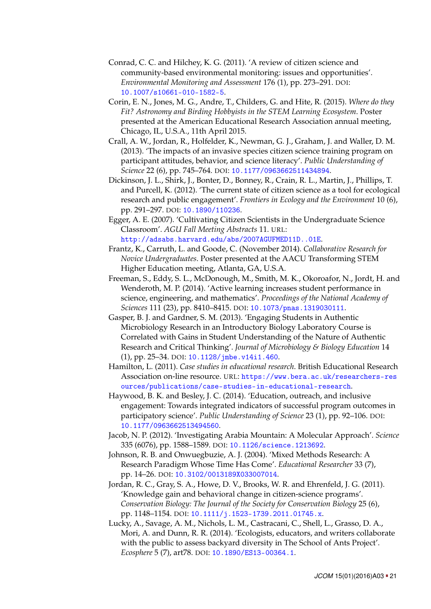- <span id="page-20-1"></span>Conrad, C. C. and Hilchey, K. G. (2011). 'A review of citizen science and community-based environmental monitoring: issues and opportunities'. *Environmental Monitoring and Assessment* 176 (1), pp. 273–291. DOI: [10.1007/s10661-010-1582-5](http://dx.doi.org/10.1007/s10661-010-1582-5).
- <span id="page-20-3"></span>Corin, E. N., Jones, M. G., Andre, T., Childers, G. and Hite, R. (2015). *Where do they Fit? Astronomy and Birding Hobbyists in the STEM Learning Ecosystem*. Poster presented at the American Educational Research Association annual meeting, Chicago, IL, U.S.A., 11th April 2015.
- <span id="page-20-10"></span>Crall, A. W., Jordan, R., Holfelder, K., Newman, G. J., Graham, J. and Waller, D. M. (2013). 'The impacts of an invasive species citizen science training program on participant attitudes, behavior, and science literacy'. *Public Understanding of Science* 22 (6), pp. 745–764. DOI: [10.1177/0963662511434894](http://dx.doi.org/10.1177/0963662511434894).
- <span id="page-20-2"></span>Dickinson, J. L., Shirk, J., Bonter, D., Bonney, R., Crain, R. L., Martin, J., Phillips, T. and Purcell, K. (2012). 'The current state of citizen science as a tool for ecological research and public engagement'. *Frontiers in Ecology and the Environment* 10 (6), pp. 291–297. DOI: [10.1890/110236](http://dx.doi.org/10.1890/110236).

<span id="page-20-4"></span>Egger, A. E. (2007). 'Cultivating Citizen Scientists in the Undergraduate Science Classroom'. *AGU Fall Meeting Abstracts* 11. URL: <http://adsabs.harvard.edu/abs/2007AGUFMED11D..01E>.

- <span id="page-20-7"></span>Frantz, K., Carruth, L. and Goode, C. (November 2014). *Collaborative Research for Novice Undergraduates*. Poster presented at the AACU Transforming STEM Higher Education meeting, Atlanta, GA, U.S.A.
- <span id="page-20-6"></span>Freeman, S., Eddy, S. L., McDonough, M., Smith, M. K., Okoroafor, N., Jordt, H. and Wenderoth, M. P. (2014). 'Active learning increases student performance in science, engineering, and mathematics'. *Proceedings of the National Academy of Sciences* 111 (23), pp. 8410–8415. DOI: [10.1073/pnas.1319030111](http://dx.doi.org/10.1073/pnas.1319030111).
- <span id="page-20-8"></span>Gasper, B. J. and Gardner, S. M. (2013). 'Engaging Students in Authentic Microbiology Research in an Introductory Biology Laboratory Course is Correlated with Gains in Student Understanding of the Nature of Authentic Research and Critical Thinking'. *Journal of Microbiology & Biology Education* 14 (1), pp. 25–34. DOI: [10.1128/jmbe.v14i1.460](http://dx.doi.org/10.1128/jmbe.v14i1.460).
- <span id="page-20-13"></span>Hamilton, L. (2011). *Case studies in educational research*. British Educational Research Association on-line resource. URL: [https://www.bera.ac.uk/researchers-res](https://www.bera.ac.uk/researchers-resources/publications/case-studies-in-educational-research) [ources/publications/case-studies-in-educational-research](https://www.bera.ac.uk/researchers-resources/publications/case-studies-in-educational-research).
- <span id="page-20-5"></span>Haywood, B. K. and Besley, J. C. (2014). 'Education, outreach, and inclusive engagement: Towards integrated indicators of successful program outcomes in participatory science'. *Public Understanding of Science* 23 (1), pp. 92–106. DOI: [10.1177/0963662513494560](http://dx.doi.org/10.1177/0963662513494560).
- <span id="page-20-9"></span>Jacob, N. P. (2012). 'Investigating Arabia Mountain: A Molecular Approach'. *Science* 335 (6076), pp. 1588–1589. DOI: [10.1126/science.1213692](http://dx.doi.org/10.1126/science.1213692).
- <span id="page-20-12"></span>Johnson, R. B. and Onwuegbuzie, A. J. (2004). 'Mixed Methods Research: A Research Paradigm Whose Time Has Come'. *Educational Researcher* 33 (7), pp. 14–26. DOI: [10.3102/0013189X033007014](http://dx.doi.org/10.3102/0013189X033007014).
- <span id="page-20-11"></span>Jordan, R. C., Gray, S. A., Howe, D. V., Brooks, W. R. and Ehrenfeld, J. G. (2011). 'Knowledge gain and behavioral change in citizen-science programs'. *Conservation Biology: The Journal of the Society for Conservation Biology* 25 (6), pp. 1148–1154. DOI: [10.1111/j.1523-1739.2011.01745.x](http://dx.doi.org/10.1111/j.1523-1739.2011.01745.x).
- <span id="page-20-0"></span>Lucky, A., Savage, A. M., Nichols, L. M., Castracani, C., Shell, L., Grasso, D. A., Mori, A. and Dunn, R. R. (2014). 'Ecologists, educators, and writers collaborate with the public to assess backyard diversity in The School of Ants Project'. *Ecosphere* 5 (7), art78. DOI: [10.1890/ES13-00364.1](http://dx.doi.org/10.1890/ES13-00364.1).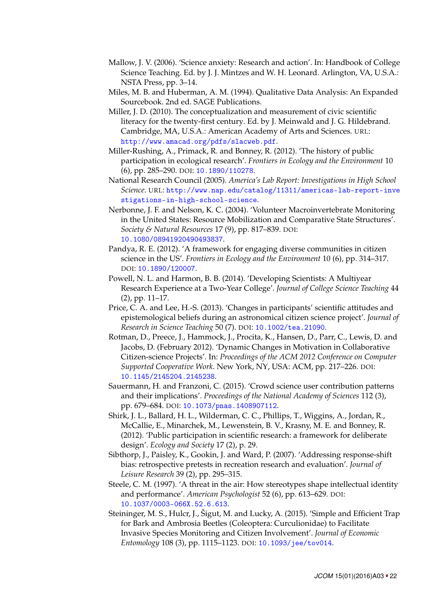- <span id="page-21-11"></span>Mallow, J. V. (2006). 'Science anxiety: Research and action'. In: Handbook of College Science Teaching. Ed. by J. J. Mintzes and W. H. Leonard. Arlington, VA, U.S.A.: NSTA Press, pp. 3–14.
- <span id="page-21-8"></span>Miles, M. B. and Huberman, A. M. (1994). Qualitative Data Analysis: An Expanded Sourcebook. 2nd ed. SAGE Publications.
- <span id="page-21-12"></span>Miller, J. D. (2010). The conceptualization and measurement of civic scientific literacy for the twenty-first century. Ed. by J. Meinwald and J. G. Hildebrand. Cambridge, MA, U.S.A.: American Academy of Arts and Sciences. URL: <http://www.amacad.org/pdfs/slacweb.pdf>.
- <span id="page-21-0"></span>Miller-Rushing, A., Primack, R. and Bonney, R. (2012). 'The history of public participation in ecological research'. *Frontiers in Ecology and the Environment* 10 (6), pp. 285–290. DOI: [10.1890/110278](http://dx.doi.org/10.1890/110278).
- <span id="page-21-14"></span>National Research Council (2005). *America's Lab Report: Investigations in High School Science*. URL: [http://www.nap.edu/catalog/11311/americas-lab-report-inve](http://www.nap.edu/catalog/11311/americas-lab-report-investigations-in-high-school-science) [stigations-in-high-school-science](http://www.nap.edu/catalog/11311/americas-lab-report-investigations-in-high-school-science).
- <span id="page-21-6"></span>Nerbonne, J. F. and Nelson, K. C. (2004). 'Volunteer Macroinvertebrate Monitoring in the United States: Resource Mobilization and Comparative State Structures'. *Society & Natural Resources* 17 (9), pp. 817–839. DOI: [10.1080/08941920490493837](http://dx.doi.org/10.1080/08941920490493837).
- <span id="page-21-3"></span>Pandya, R. E. (2012). 'A framework for engaging diverse communities in citizen science in the US'. *Frontiers in Ecology and the Environment* 10 (6), pp. 314–317. DOI: [10.1890/120007](http://dx.doi.org/10.1890/120007).
- <span id="page-21-4"></span>Powell, N. L. and Harmon, B. B. (2014). 'Developing Scientists: A Multiyear Research Experience at a Two-Year College'. *Journal of College Science Teaching* 44 (2), pp. 11–17.
- <span id="page-21-5"></span>Price, C. A. and Lee, H.-S. (2013). 'Changes in participants' scientific attitudes and epistemological beliefs during an astronomical citizen science project'. *Journal of Research in Science Teaching* 50 (7). DOI: [10.1002/tea.21090](http://dx.doi.org/10.1002/tea.21090).
- <span id="page-21-9"></span>Rotman, D., Preece, J., Hammock, J., Procita, K., Hansen, D., Parr, C., Lewis, D. and Jacobs, D. (February 2012). 'Dynamic Changes in Motivation in Collaborative Citizen-science Projects'. In: *Proceedings of the ACM 2012 Conference on Computer Supported Cooperative Work*. New York, NY, USA: ACM, pp. 217–226. DOI: [10.1145/2145204.2145238](http://dx.doi.org/10.1145/2145204.2145238).
- <span id="page-21-2"></span>Sauermann, H. and Franzoni, C. (2015). 'Crowd science user contribution patterns and their implications'. *Proceedings of the National Academy of Sciences* 112 (3), pp. 679–684. DOI: [10.1073/pnas.1408907112](http://dx.doi.org/10.1073/pnas.1408907112).
- <span id="page-21-1"></span>Shirk, J. L., Ballard, H. L., Wilderman, C. C., Phillips, T., Wiggins, A., Jordan, R., McCallie, E., Minarchek, M., Lewenstein, B. V., Krasny, M. E. and Bonney, R. (2012). 'Public participation in scientific research: a framework for deliberate design'. *Ecology and Society* 17 (2), p. 29.
- <span id="page-21-7"></span>Sibthorp, J., Paisley, K., Gookin, J. and Ward, P. (2007). 'Addressing response-shift bias: retrospective pretests in recreation research and evaluation'. *Journal of Leisure Research* 39 (2), pp. 295–315.
- <span id="page-21-10"></span>Steele, C. M. (1997). 'A threat in the air: How stereotypes shape intellectual identity and performance'. *American Psychologist* 52 (6), pp. 613–629. DOI: [10.1037/0003-066X.52.6.613](http://dx.doi.org/10.1037/0003-066X.52.6.613).
- <span id="page-21-13"></span>Steininger, M. S., Hulcr, J., Šigut, M. and Lucky, A. (2015). 'Simple and Efficient Trap for Bark and Ambrosia Beetles (Coleoptera: Curculionidae) to Facilitate Invasive Species Monitoring and Citizen Involvement'. *Journal of Economic Entomology* 108 (3), pp. 1115–1123. DOI: [10.1093/jee/tov014](http://dx.doi.org/10.1093/jee/tov014).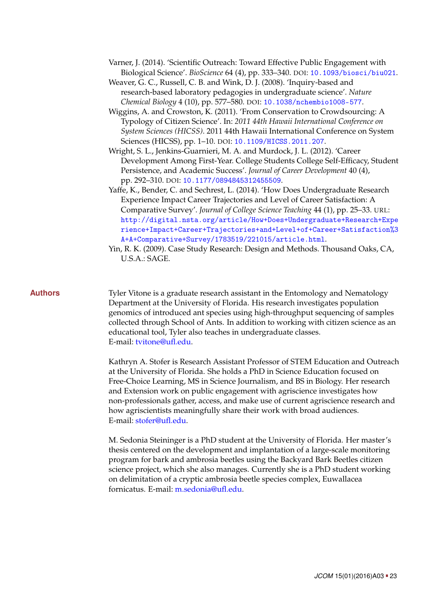- <span id="page-22-4"></span>Varner, J. (2014). 'Scientific Outreach: Toward Effective Public Engagement with Biological Science'. *BioScience* 64 (4), pp. 333–340. DOI: [10.1093/biosci/biu021](http://dx.doi.org/10.1093/biosci/biu021).
- <span id="page-22-2"></span>Weaver, G. C., Russell, C. B. and Wink, D. J. (2008). 'Inquiry-based and research-based laboratory pedagogies in undergraduate science'. *Nature Chemical Biology* 4 (10), pp. 577–580. DOI: [10.1038/nchembio1008-577](http://dx.doi.org/10.1038/nchembio1008-577).
- <span id="page-22-0"></span>Wiggins, A. and Crowston, K. (2011). 'From Conservation to Crowdsourcing: A Typology of Citizen Science'. In: *2011 44th Hawaii International Conference on System Sciences (HICSS)*. 2011 44th Hawaii International Conference on System Sciences (HICSS), pp. 1–10. DOI: [10.1109/HICSS.2011.207](http://dx.doi.org/10.1109/HICSS.2011.207).
- <span id="page-22-3"></span>Wright, S. L., Jenkins-Guarnieri, M. A. and Murdock, J. L. (2012). 'Career Development Among First-Year. College Students College Self-Efficacy, Student Persistence, and Academic Success'. *Journal of Career Development* 40 (4), pp. 292–310. DOI: [10.1177/0894845312455509](http://dx.doi.org/10.1177/0894845312455509).
- <span id="page-22-1"></span>Yaffe, K., Bender, C. and Sechrest, L. (2014). 'How Does Undergraduate Research Experience Impact Career Trajectories and Level of Career Satisfaction: A Comparative Survey'. *Journal of College Science Teaching* 44 (1), pp. 25–33. URL: [http://digital.nsta.org/article/How+Does+Undergraduate+Research+Expe](http://digital.nsta.org/article/How+Does+Undergraduate+Research+Experience+Impact+Career+Trajectories+and+Level+of+Career+Satisfaction%3A+A+Comparative+Survey/1783519/221015/article.html) [rience+Impact+Career+Trajectories+and+Level+of+Career+Satisfaction%3](http://digital.nsta.org/article/How+Does+Undergraduate+Research+Experience+Impact+Career+Trajectories+and+Level+of+Career+Satisfaction%3A+A+Comparative+Survey/1783519/221015/article.html) [A+A+Comparative+Survey/1783519/221015/article.html](http://digital.nsta.org/article/How+Does+Undergraduate+Research+Experience+Impact+Career+Trajectories+and+Level+of+Career+Satisfaction%3A+A+Comparative+Survey/1783519/221015/article.html).
- <span id="page-22-5"></span>Yin, R. K. (2009). Case Study Research: Design and Methods. Thousand Oaks, CA, U.S.A.: SAGE.

**Authors** Tyler Vitone is a graduate research assistant in the Entomology and Nematology Department at the University of Florida. His research investigates population genomics of introduced ant species using high-throughput sequencing of samples collected through School of Ants. In addition to working with citizen science as an educational tool, Tyler also teaches in undergraduate classes. E-mail: [tvitone@ufl.edu.](mailto:tvitone@ufl.edu)

> Kathryn A. Stofer is Research Assistant Professor of STEM Education and Outreach at the University of Florida. She holds a PhD in Science Education focused on Free-Choice Learning, MS in Science Journalism, and BS in Biology. Her research and Extension work on public engagement with agriscience investigates how non-professionals gather, access, and make use of current agriscience research and how agriscientists meaningfully share their work with broad audiences. E-mail: [stofer@ufl.edu.](mailto:stofer@ufl.edu)

M. Sedonia Steininger is a PhD student at the University of Florida. Her master's thesis centered on the development and implantation of a large-scale monitoring program for bark and ambrosia beetles using the Backyard Bark Beetles citizen science project, which she also manages. Currently she is a PhD student working on delimitation of a cryptic ambrosia beetle species complex, Euwallacea fornicatus. E-mail: [m.sedonia@ufl.edu.](mailto:m.sedonia@ufl.edu)